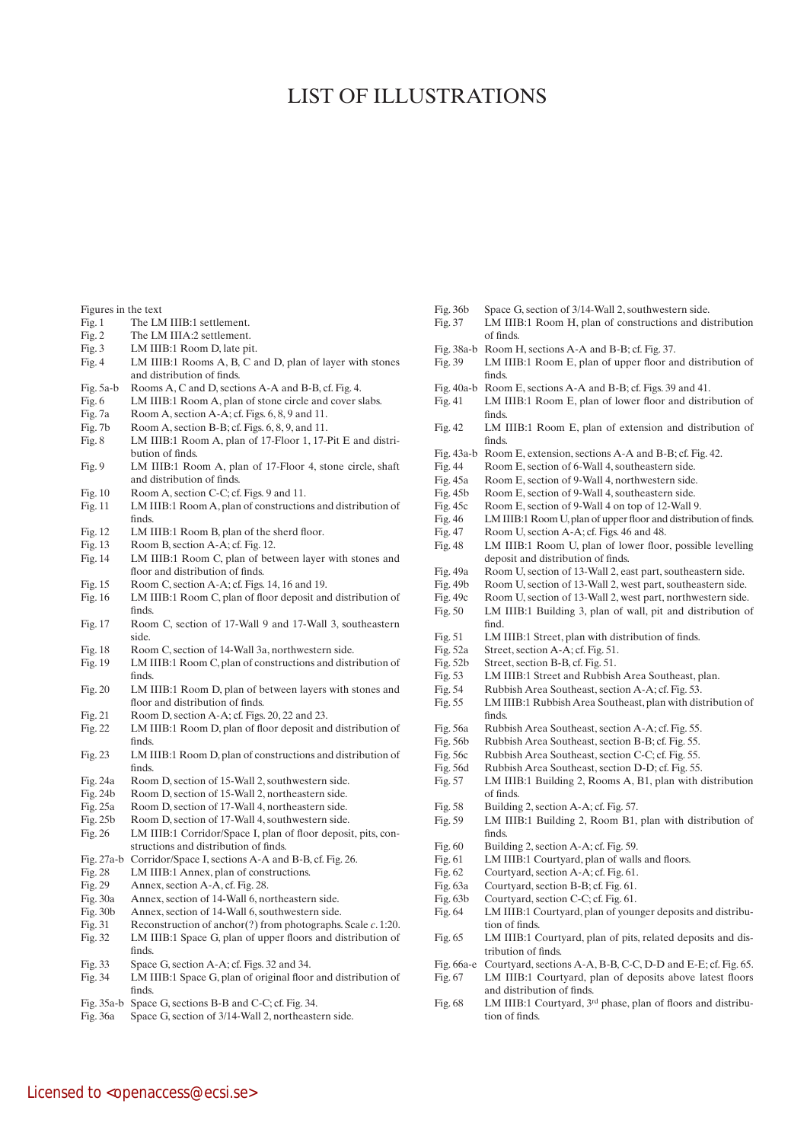## LIST OF ILLUSTRATIONS

| Figures in the text |  |  |
|---------------------|--|--|
|                     |  |  |

- Fig. 1 The LM IIIB:1 settlement.
- Fig. 2 The LM IIIA:2 settlement.
- Fig. 3 LM IIIB:1 Room D, late pit.
- Fig. 4 LM IIIB:1 Rooms A, B, C and D, plan of layer with stones and distribution of finds.
- Fig. 5a-b Rooms A, C and D, sections A-A and B-B, cf. Fig. 4.
- Fig. 6 LM IIIB:1 Room A, plan of stone circle and cover slabs.
- Fig. 7a Room A, section A-A; cf. Figs. 6, 8, 9 and 11.
- Fig. 7b Room A, section B-B; cf. Figs. 6, 8, 9, and 11.
- Fig. 8 LM IIIB:1 Room A, plan of 17-Floor 1, 17-Pit E and distribution of finds.
- Fig. 9 LM IIIB:1 Room A, plan of 17-Floor 4, stone circle, shaft and distribution of finds.
- Fig. 10 Room A, section C-C; cf. Figs. 9 and 11.
- Fig. 11 LM IIIB:1 Room A, plan of constructions and distribution of finds.
- Fig. 12 LM IIIB:1 Room B, plan of the sherd floor.
- Fig. 13 Room B, section A-A; cf. Fig. 12.
- Fig. 14 LM IIIB:1 Room C, plan of between layer with stones and floor and distribution of finds.
- Fig. 15 Room C, section A-A; cf. Figs. 14, 16 and 19.
- Fig. 16 LM IIIB:1 Room C, plan of floor deposit and distribution of finds.
- Fig. 17 Room C, section of 17-Wall 9 and 17-Wall 3, southeastern side.
- Fig. 18 Room C, section of 14-Wall 3a, northwestern side.
- Fig. 19 LM IIIB:1 Room C, plan of constructions and distribution of finds.
- Fig. 20 LM IIIB:1 Room D, plan of between layers with stones and floor and distribution of finds.
- Fig. 21 Room D, section A-A; cf. Figs. 20, 22 and 23.
- Fig. 22 LM IIIB:1 Room D, plan of floor deposit and distribution of finds.
- Fig. 23 LM IIIB:1 Room D, plan of constructions and distribution of finds.
- Fig. 24a Room D, section of 15-Wall 2, southwestern side.
- Fig. 24b Room D, section of 15-Wall 2, northeastern side.<br>Fig. 25a Room D, section of 17-Wall 4, northeastern side.
- Fig. 25a Room D, section of 17-Wall 4, northeastern side.<br>Fig. 25b Room D, section of 17-Wall 4, southwestern side
- Room D, section of 17-Wall 4, southwestern side.
- Fig. 26 LM IIIB:1 Corridor/Space I, plan of floor deposit, pits, constructions and distribution of finds.
- Fig. 27a-b Corridor/Space I, sections A-A and B-B, cf. Fig. 26.
- Fig. 28 LM IIIB:1 Annex, plan of constructions.<br>Fig. 29 Annex, section A-A, cf. Fig. 28.
- Fig. 29 Annex, section A-A, cf. Fig. 28.<br>Fig. 30a Annex, section of 14-Wall 6, no
- Fig. 30a Annex, section of 14-Wall 6, northeastern side.<br>Fig. 30b Annex, section of 14-Wall 6, southwestern side
- Annex, section of 14-Wall 6, southwestern side.
- Fig. 31 Reconstruction of anchor(?) from photographs. Scale *c*. 1:20. Fig. 32 LM IIIB:1 Space G, plan of upper floors and distribution of
- finds. Fig. 33 Space G, section A-A; cf. Figs. 32 and 34.
- Fig. 34 LM IIIB:1 Space G, plan of original floor and distribution of finds.
- Fig. 35a-b Space G, sections B-B and C-C; cf. Fig. 34.
- Fig. 36a Space G, section of 3/14-Wall 2, northeastern side.
- Fig. 36b Space G, section of 3/14-Wall 2, southwestern side.
- Fig. 37 LM IIIB:1 Room H, plan of constructions and distribution of finds.
- Fig. 38a-b Room H, sections A-A and B-B; cf. Fig. 37.
- Fig. 39 LM IIIB:1 Room E, plan of upper floor and distribution of finds.
- Fig. 40a-b Room E, sections A-A and B-B; cf. Figs. 39 and 41.
- Fig. 41 LM IIIB:1 Room E, plan of lower floor and distribution of finds.
- Fig. 42 LM IIIB:1 Room E, plan of extension and distribution of finds.
- Fig. 43a-b Room E, extension, sections A-A and B-B; cf. Fig. 42.
- Fig. 44 Room E, section of 6-Wall 4, southeastern side.
- Fig. 45a Room E, section of 9-Wall 4, northwestern side.<br>Fig. 45b Room E, section of 9-Wall 4, southeastern side.
- Room E, section of 9-Wall 4, southeastern side.
- Fig. 45c Room E, section of 9-Wall 4 on top of 12-Wall 9.
- Fig. 46 LM IIIB:1 Room U, plan of upper floor and distribution of finds.
- 
- Fig. 47 Room U, section A-A; cf. Figs. 46 and 48.<br>Fig. 48 LM IIIB:1 Room U, plan of lower floo LM IIIB:1 Room U, plan of lower floor, possible levelling deposit and distribution of finds.
- Fig. 49a Room U, section of 13-Wall 2, east part, southeastern side.<br>Fig. 49b Room U, section of 13-Wall 2, west part, southeastern side.
- Room U, section of 13-Wall 2, west part, southeastern side.
- 
- Fig. 49c Room U, section of 13-Wall 2, west part, northwestern side. LM IIIB:1 Building 3, plan of wall, pit and distribution of find.
- Fig. 51 LM IIIB:1 Street, plan with distribution of finds.
- Fig. 52a Street, section A-A; cf. Fig. 51.
- Fig. 52b Street, section B-B, cf. Fig. 51.
- Fig. 53 LM IIIB:1 Street and Rubbish Area Southeast, plan.<br>Fig. 54 Rubbish Area Southeast, section A-A; cf. Fig. 53.
- 
- Fig. 54 Rubbish Area Southeast, section A-A; cf. Fig. 53. LM IIIB:1 Rubbish Area Southeast, plan with distribution of finds.
- Fig. 56a Rubbish Area Southeast, section A-A; cf. Fig. 55.
- 
- Fig. 56b Rubbish Area Southeast, section B-B; cf. Fig. 55.<br>Fig. 56c Rubbish Area Southeast, section C-C; cf. Fig. 55. Rubbish Area Southeast, section C-C; cf. Fig. 55.
- Fig. 56d Rubbish Area Southeast, section D-D; cf. Fig. 55.
- Fig. 57 LM IIIB:1 Building 2, Rooms A, B1, plan with distribution of finds.
- Fig. 58 Building 2, section A-A; cf. Fig. 57.
- Fig. 59 LM IIIB:1 Building 2, Room B1, plan with distribution of finds.
- Fig. 60 Building 2, section A-A; cf. Fig. 59.
- Fig. 61 LM IIIB:1 Courtyard, plan of walls and floors.
- Fig. 62 Courtyard, section A-A; cf. Fig. 61.
- Fig. 63a Courtyard, section B-B; cf. Fig. 61.
- Fig. 63b Courtyard, section C-C; cf. Fig. 61.
- Fig. 64 LM IIIB:1 Courtyard, plan of younger deposits and distribution of finds.
- Fig. 65 LM IIIB:1 Courtyard, plan of pits, related deposits and distribution of finds.
- Fig. 66a-e Courtyard, sections A-A, B-B, C-C, D-D and E-E; cf. Fig. 65. Fig. 67 LM IIIB:1 Courtyard, plan of deposits above latest floors
- and distribution of finds.
- Fig. 68 LM IIIB:1 Courtyard, 3rd phase, plan of floors and distribution of finds.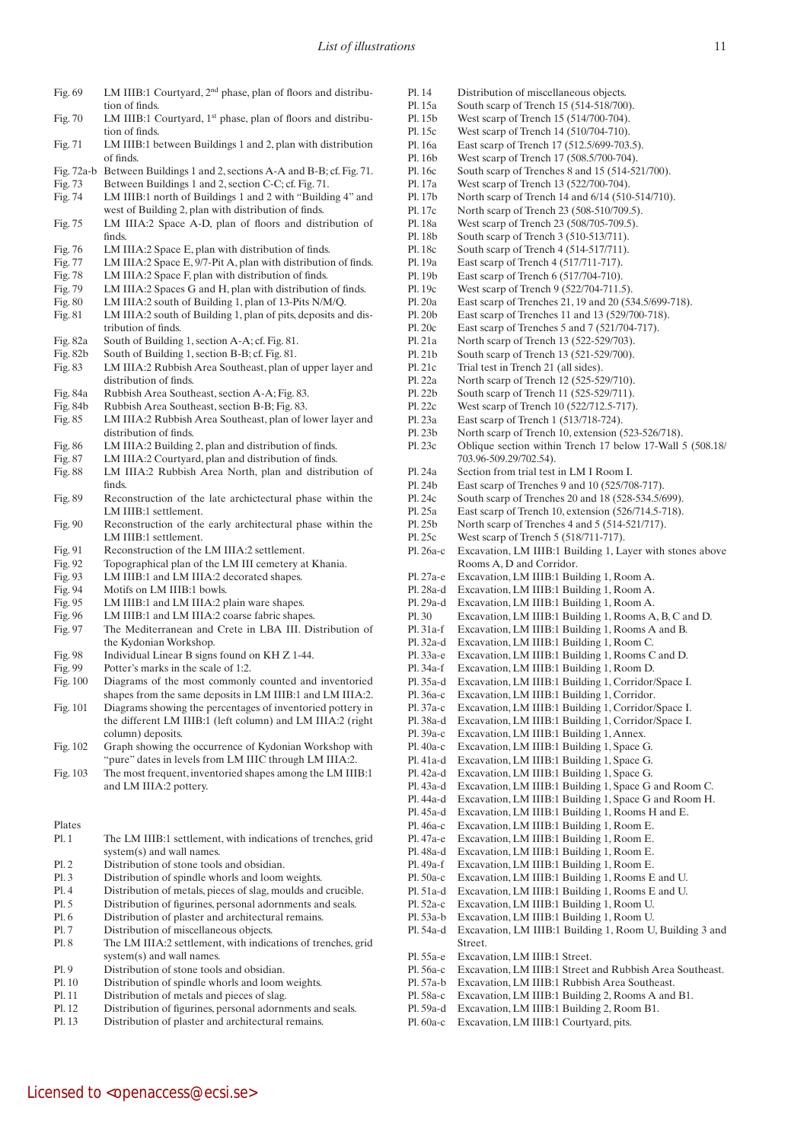- Fig. 69 LM IIIB:1 Courtyard, 2<sup>nd</sup> phase, plan of floors and distribution of finds.
- Fig. 70 LM IIIB:1 Courtyard, 1st phase, plan of floors and distribution of finds.
- Fig. 71 LM IIIB:1 between Buildings 1 and 2, plan with distribution of finds.
- Fig. 72a-b Between Buildings 1 and 2, sections A-A and B-B; cf. Fig. 71.
- Fig. 73 Between Buildings 1 and 2, section C-C; cf. Fig. 71.
- Fig. 74 LM IIIB:1 north of Buildings 1 and 2 with "Building 4" and west of Building 2, plan with distribution of finds.
- Fig. 75 LM IIIA:2 Space A-D, plan of floors and distribution of finds.
- Fig. 76 LM IIIA:2 Space E, plan with distribution of finds.
- Fig. 77 LM IIIA:2 Space E, 9/7-Pit A, plan with distribution of finds.
- Fig. 78 LM IIIA:2 Space F, plan with distribution of finds.
- Fig. 79 LM IIIA:2 Spaces G and H, plan with distribution of finds.<br>Fig. 80 LM IIIA:2 south of Building 1, plan of 13-Pits N/M/O.
- LM IIIA:2 south of Building 1, plan of 13-Pits N/M/Q. Fig. 81 LM IIIA:2 south of Building 1, plan of pits, deposits and dis-
- tribution of finds.
- Fig. 82a South of Building 1, section A-A; cf. Fig. 81.<br>Fig. 82b South of Building 1, section B-B; cf. Fig. 81. South of Building 1, section B-B; cf. Fig. 81.
- Fig. 83 LM IIIA:2 Rubbish Area Southeast, plan of upper layer and distribution of finds.
- Fig. 84a Rubbish Area Southeast, section A-A; Fig. 83.
- Fig. 84b Rubbish Area Southeast, section B-B; Fig. 83.
- Fig. 85 LM IIIA:2 Rubbish Area Southeast, plan of lower layer and distribution of finds.
- Fig. 86 LM IIIA:2 Building 2, plan and distribution of finds.
- Fig. 87 LM IIIA:2 Courtyard, plan and distribution of finds.
- Fig. 88 LM IIIA:2 Rubbish Area North, plan and distribution of finds.
- Fig. 89 Reconstruction of the late archictectural phase within the LM IIIB:1 settlement.
- Fig. 90 Reconstruction of the early architectural phase within the LM IIIB:1 settlement.
- Fig. 91 Reconstruction of the LM IIIA:2 settlement.<br>Fig. 92 Topographical plan of the LM III cemetery a
- Fig. 92 Topographical plan of the LM III cemetery at Khania.<br>Fig. 93 LM IIIB:1 and LM IIIA:2 decorated shapes.
- LM IIIB:1 and LM IIIA:2 decorated shapes.
- Fig. 94 Motifs on LM IIIB:1 bowls.<br>Fig. 95 LM IIIB:1 and LM IIIA:2 p
- LM IIIB:1 and LM IIIA:2 plain ware shapes.
- 
- Fig. 96 LM IIIB:1 and LM IIIA:2 coarse fabric shapes.<br>Fig. 97 The Mediterranean and Crete in LBA III. D The Mediterranean and Crete in LBA III. Distribution of the Kydonian Workshop.
- Fig. 98 Individual Linear B signs found on KH Z 1-44.
- Fig. 99 Potter's marks in the scale of 1:2.
- Fig. 100 Diagrams of the most commonly counted and inventoried shapes from the same deposits in LM IIIB:1 and LM IIIA:2.
- Fig. 101 Diagrams showing the percentages of inventoried pottery in the different LM IIIB:1 (left column) and LM IIIA:2 (right column) deposits.
- Fig. 102 Graph showing the occurrence of Kydonian Workshop with "pure" dates in levels from LM IIIC through LM IIIA:2.
- Fig. 103 The most frequent, inventoried shapes among the LM IIIB:1 and LM IIIA:2 pottery.

## Plates

- Pl. 1 The LM IIIB:1 settlement, with indications of trenches, grid system(s) and wall names. Pl. 2 Distribution of stone tools and obsidian. Pl. 3 Distribution of spindle whorls and loom weights. Pl. 4 Distribution of metals, pieces of slag, moulds and crucible. Pl. 5 Distribution of figurines, personal adornments and seals. Pl. 6 Distribution of plaster and architectural remains. Pl. 7 Distribution of miscellaneous objects. Pl. 8 The LM IIIA:2 settlement, with indications of trenches, grid system(s) and wall names. Pl. 9 Distribution of stone tools and obsidian. Pl. 10 Distribution of spindle whorls and loom weights. Pl. 11 Distribution of metals and pieces of slag. Pl. 12 Distribution of figurines, personal adornments and seals.
- Pl. 13 Distribution of plaster and architectural remains.

Licensed to <openaccess@ecsi.se>

- Pl. 14 Distribution of miscellaneous objects.
- Pl. 15a South scarp of Trench 15 (514-518/700).
- Pl. 15b West scarp of Trench 15 (514/700-704). Pl. 15c West scarp of Trench 14 (510/704-710).
- Pl. 16a East scarp of Trench 17 (512.5/699-703.5).
- Pl. 16b West scarp of Trench 17 (508.5/700-704).
- Pl. 16c South scarp of Trenches 8 and 15 (514-521/700).
- Pl. 17a West scarp of Trench 13 (522/700-704).
- Pl. 17b North scarp of Trench 14 and 6/14 (510-514/710).
- Pl. 17c North scarp of Trench 23 (508-510/709.5).
- Pl. 18a West scarp of Trench 23 (508/705-709.5).
- Pl. 18b South scarp of Trench 3 (510-513/711).
- Pl. 18c South scarp of Trench 4 (514-517/711).
- Pl. 19a East scarp of Trench 4 (517/711-717).
- Pl. 19b East scarp of Trench 6 (517/704-710).
- Pl. 19c West scarp of Trench 9 (522/704-711.5).
- Pl. 20a East scarp of Trenches 21, 19 and 20 (534.5/699-718).
- Pl. 20b East scarp of Trenches 11 and 13 (529/700-718).
- Pl. 20c East scarp of Trenches 5 and 7 (521/704-717).
- Pl. 21a North scarp of Trench 13 (522-529/703).
- Pl. 21b South scarp of Trench 13 (521-529/700).
- Pl. 21c Trial test in Trench 21 (all sides).
- Pl. 22a North scarp of Trench 12 (525-529/710).
- Pl. 22b South scarp of Trench 11 (525-529/711).
- Pl. 22c West scarp of Trench 10 (522/712.5-717).
- Pl. 23a East scarp of Trench 1 (513/718-724).
- Pl. 23b North scarp of Trench 10, extension (523-526/718).
- Pl. 23c Oblique section within Trench 17 below 17-Wall 5 (508.18/ 703.96-509.29/702.54).
- Pl. 24a Section from trial test in LM I Room I.
- Pl. 24b East scarp of Trenches 9 and 10 (525/708-717).
- Pl. 24c South scarp of Trenches 20 and 18 (528-534.5/699).
- Pl. 25a East scarp of Trench 10, extension (526/714.5-718).
- Pl. 25b North scarp of Trenches 4 and 5 (514-521/717).
- Pl. 25c West scarp of Trench 5 (518/711-717).
- Pl. 26a-c Excavation, LM IIIB:1 Building 1, Layer with stones above Rooms A, D and Corridor.
- Pl. 27a-e Excavation, LM IIIB:1 Building 1, Room A.
- Pl. 28a-d Excavation, LM IIIB:1 Building 1, Room A.
- Pl. 29a-d Excavation, LM IIIB:1 Building 1, Room A.
- Pl. 30 Excavation, LM IIIB:1 Building 1, Rooms A, B, C and D.
- Pl. 31a-f Excavation, LM IIIB:1 Building 1, Rooms A and B.
- Pl. 32a-d Excavation, LM IIIB:1 Building 1, Room C.
- Pl. 33a-e Excavation, LM IIIB:1 Building 1, Rooms C and D.
- Pl. 34a-f Excavation, LM IIIB:1 Building 1, Room D.
- Pl. 35a-d Excavation, LM IIIB:1 Building 1, Corridor/Space I.
- Pl. 36a-c Excavation, LM IIIB:1 Building 1, Corridor.
- Pl. 37a-c Excavation, LM IIIB:1 Building 1, Corridor/Space I.
- Pl. 38a-d Excavation, LM IIIB:1 Building 1, Corridor/Space I.
- Pl. 39a-c Excavation, LM IIIB:1 Building 1, Annex.
- Pl. 40a-c Excavation, LM IIIB:1 Building 1, Space G.
- Pl. 41a-d Excavation, LM IIIB:1 Building 1, Space G.
- Pl. 42a-d Excavation, LM IIIB:1 Building 1, Space G.
- Pl. 43a-d Excavation, LM IIIB:1 Building 1, Space G and Room C.
- Pl. 44a-d Excavation, LM IIIB:1 Building 1, Space G and Room H.
- Pl. 45a-d Excavation, LM IIIB:1 Building 1, Rooms H and E.
- Pl. 46a-c Excavation, LM IIIB:1 Building 1, Room E.
- Pl. 47a-e Excavation, LM IIIB:1 Building 1, Room E.
- Pl. 48a-d Excavation, LM IIIB:1 Building 1, Room E.
- Pl. 49a-f Excavation, LM IIIB:1 Building 1, Room E.
- Pl. 50a-c Excavation, LM IIIB:1 Building 1, Rooms E and U.
- Pl. 51a-d Excavation, LM IIIB:1 Building 1, Rooms E and U.

Pl. 57a-b Excavation, LM IIIB:1 Rubbish Area Southeast. Pl. 58a-c Excavation, LM IIIB:1 Building 2, Rooms A and B1. Pl. 59a-d Excavation, LM IIIB:1 Building 2, Room B1. Pl. 60a-c Excavation, LM IIIB:1 Courtyard, pits.

Pl. 54a-d Excavation, LM IIIB:1 Building 1, Room U, Building 3 and

Pl. 56a-c Excavation, LM IIIB:1 Street and Rubbish Area Southeast.

Pl. 52a-c Excavation, LM IIIB:1 Building 1, Room U. Pl. 53a-b Excavation, LM IIIB:1 Building 1, Room U.

Street.

Pl. 55a-e Excavation, LM IIIB:1 Street.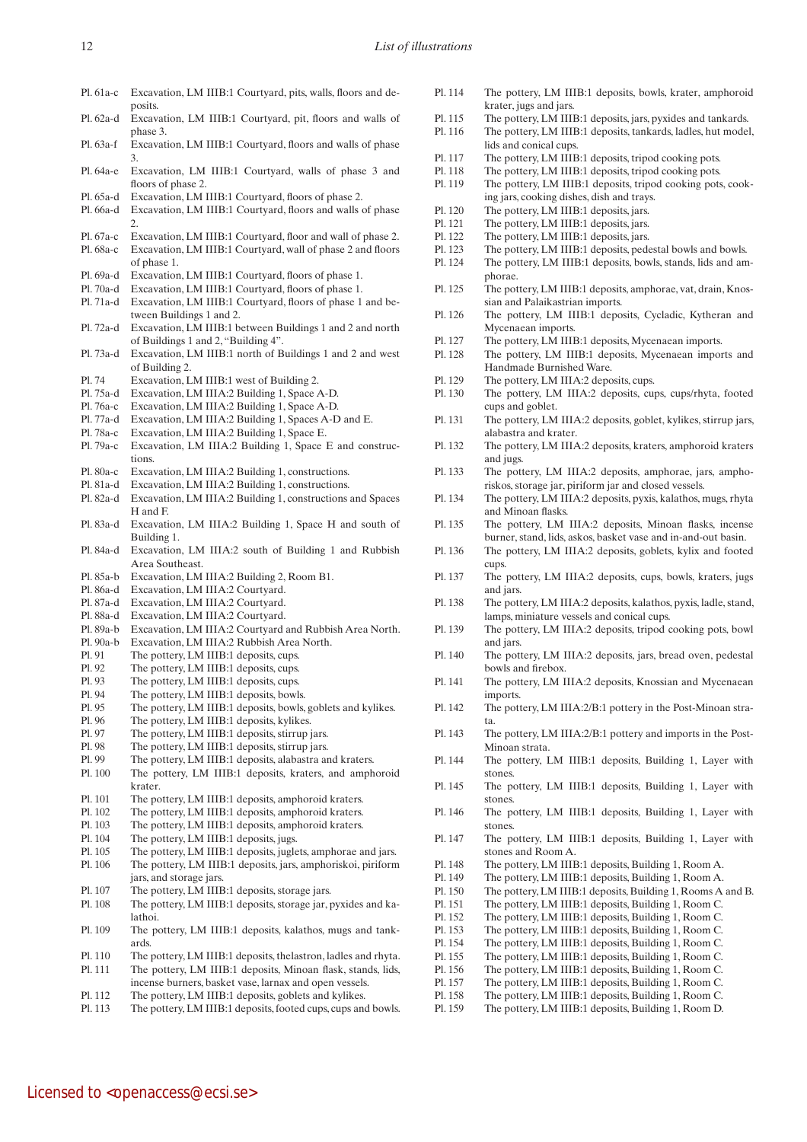Licensed to <openaccess@ecsi.se>

- Pl. 61a-c Excavation, LM IIIB:1 Courtyard, pits, walls, floors and deposits
- Pl. 62a-d Excavation, LM IIIB:1 Courtyard, pit, floors and walls of phase 3.
- Pl. 63a-f Excavation, LM IIIB:1 Courtyard, floors and walls of phase 3.
- Pl. 64a-e Excavation, LM IIIB:1 Courtyard, walls of phase 3 and floors of phase 2.
- Pl. 65a-d Excavation, LM IIIB:1 Courtyard, floors of phase 2.
- Pl. 66a-d Excavation, LM IIIB:1 Courtyard, floors and walls of phase 2.
- Pl. 67a-c Excavation, LM IIIB:1 Courtyard, floor and wall of phase 2.
- Pl. 68a-c Excavation, LM IIIB:1 Courtyard, wall of phase 2 and floors of phase 1.
- Pl. 69a-d Excavation, LM IIIB:1 Courtyard, floors of phase 1.
- Pl. 70a-d Excavation, LM IIIB:1 Courtyard, floors of phase 1.
- Pl. 71a-d Excavation, LM IIIB:1 Courtyard, floors of phase 1 and between Buildings 1 and 2.
- Pl. 72a-d Excavation, LM IIIB:1 between Buildings 1 and 2 and north of Buildings 1 and 2, "Building 4".
- Pl. 73a-d Excavation, LM IIIB:1 north of Buildings 1 and 2 and west of Building 2.
- Pl. 74 Excavation, LM IIIB:1 west of Building 2.
- Pl. 75a-d Excavation, LM IIIA:2 Building 1, Space A-D.
- Pl. 76a-c Excavation, LM IIIA:2 Building 1, Space A-D.
- Pl. 77a-d Excavation, LM IIIA:2 Building 1, Spaces A-D and E.
- Pl. 78a-c Excavation, LM IIIA:2 Building 1, Space E.
- Pl. 79a-c Excavation, LM IIIA:2 Building 1, Space E and constructions.
- Pl. 80a-c Excavation, LM IIIA:2 Building 1, constructions.
- Pl. 81a-d Excavation, LM IIIA:2 Building 1, constructions.
- Pl. 82a-d Excavation, LM IIIA:2 Building 1, constructions and Spaces H and F.
- Pl. 83a-d Excavation, LM IIIA:2 Building 1, Space H and south of Building 1.
- Pl. 84a-d Excavation, LM IIIA:2 south of Building 1 and Rubbish Area Southeast.
- Pl. 85a-b Excavation, LM IIIA:2 Building 2, Room B1.
- Pl. 86a-d Excavation, LM IIIA:2 Courtyard.
- Pl. 87a-d Excavation, LM IIIA:2 Courtyard.
- Pl. 88a-d Excavation, LM IIIA:2 Courtyard.
- Pl. 89a-b Excavation, LM IIIA:2 Courtyard and Rubbish Area North.
- Pl. 90a-b Excavation, LM IIIA:2 Rubbish Area North.
- Pl. 91 The pottery, LM IIIB:1 deposits, cups.
- Pl. 92 The pottery, LM IIIB:1 deposits, cups.
- Pl. 93 The pottery, LM IIIB:1 deposits, cups.
- Pl. 94 The pottery, LM IIIB:1 deposits, bowls.
- Pl. 95 The pottery, LM IIIB:1 deposits, bowls, goblets and kylikes.
- The pottery, LM IIIB:1 deposits, kylikes.
- Pl. 97 The pottery, LM IIIB:1 deposits, stirrup jars.
- Pl. 98 The pottery, LM IIIB:1 deposits, stirrup jars.
- Pl. 99 The pottery, LM IIIB:1 deposits, alabastra and kraters.
- Pl. 100 The pottery, LM IIIB:1 deposits, kraters, and amphoroid krater.
- Pl. 101 The pottery, LM IIIB:1 deposits, amphoroid kraters.
- Pl. 102 The pottery, LM IIIB:1 deposits, amphoroid kraters.
- Pl. 103 The pottery, LM IIIB:1 deposits, amphoroid kraters.<br>Pl. 104 The pottery, LM IIIB:1 deposits, jugs.
- The pottery, LM IIIB:1 deposits, jugs.
- Pl. 105 The pottery, LM IIIB:1 deposits, juglets, amphorae and jars.
- Pl. 106 The pottery, LM IIIB:1 deposits, jars, amphoriskoi, piriform jars, and storage jars.
- Pl. 107 The pottery, LM IIIB:1 deposits, storage jars.
- Pl. 108 The pottery, LM IIIB:1 deposits, storage jar, pyxides and kalathoi.
- Pl. 109 The pottery, LM IIIB:1 deposits, kalathos, mugs and tankards.
- Pl. 110 The pottery, LM IIIB:1 deposits, thelastron, ladles and rhyta.
- Pl. 111 The pottery, LM IIIB:1 deposits, Minoan flask, stands, lids,
- incense burners, basket vase, larnax and open vessels. Pl. 112 The pottery, LM IIIB:1 deposits, goblets and kylikes.
- Pl. 113 The pottery, LM IIIB:1 deposits, footed cups, cups and bowls.
- Pl. 114 The pottery, LM IIIB:1 deposits, bowls, krater, amphoroid krater, jugs and jars.
- Pl. 115 The pottery, LM IIIB:1 deposits, jars, pyxides and tankards.
- Pl. 116 The pottery, LM IIIB:1 deposits, tankards, ladles, hut model, lids and conical cups.
- Pl. 117 The pottery, LM IIIB:1 deposits, tripod cooking pots.
- Pl. 118 The pottery, LM IIIB:1 deposits, tripod cooking pots.
- Pl. 119 The pottery, LM IIIB:1 deposits, tripod cooking pots, cooking jars, cooking dishes, dish and trays.
- Pl. 120 The pottery, LM IIIB:1 deposits, jars.
- Pl. 121 The pottery, LM IIIB:1 deposits, jars.
- Pl. 122 The pottery, LM IIIB:1 deposits, jars.
- Pl. 123 The pottery, LM IIIB:1 deposits, pedestal bowls and bowls.
- Pl. 124 The pottery, LM IIIB:1 deposits, bowls, stands, lids and amphorae.
- Pl. 125 The pottery, LM IIIB:1 deposits, amphorae, vat, drain, Knossian and Palaikastrian imports.
- Pl. 126 The pottery, LM IIIB:1 deposits, Cycladic, Kytheran and Mycenaean imports.
- Pl. 127 The pottery, LM IIIB:1 deposits, Mycenaean imports.
- Pl. 128 The pottery, LM IIIB:1 deposits, Mycenaean imports and Handmade Burnished Ware.
- Pl. 129 The pottery, LM IIIA:2 deposits, cups.
- Pl. 130 The pottery, LM IIIA:2 deposits, cups, cups/rhyta, footed cups and goblet.
- Pl. 131 The pottery, LM IIIA:2 deposits, goblet, kylikes, stirrup jars, alabastra and krater.
- Pl. 132 The pottery, LM IIIA:2 deposits, kraters, amphoroid kraters and jugs.
- Pl. 133 The pottery, LM IIIA:2 deposits, amphorae, jars, amphoriskos, storage jar, piriform jar and closed vessels.
- Pl. 134 The pottery, LM IIIA:2 deposits, pyxis, kalathos, mugs, rhyta and Minoan flasks.
- Pl. 135 The pottery, LM IIIA:2 deposits, Minoan flasks, incense burner, stand, lids, askos, basket vase and in-and-out basin.
- Pl. 136 The pottery, LM IIIA:2 deposits, goblets, kylix and footed cups.
- Pl. 137 The pottery, LM IIIA:2 deposits, cups, bowls, kraters, jugs and jars.
- Pl. 138 The pottery, LM IIIA:2 deposits, kalathos, pyxis, ladle, stand, lamps, miniature vessels and conical cups.
- Pl. 139 The pottery, LM IIIA:2 deposits, tripod cooking pots, bowl and jars.
- Pl. 140 The pottery, LM IIIA:2 deposits, jars, bread oven, pedestal bowls and firebox.
- Pl. 141 The pottery, LM IIIA:2 deposits, Knossian and Mycenaean imports.
- Pl. 142 The pottery, LM IIIA:2/B:1 pottery in the Post-Minoan strata.
- Pl. 143 The pottery, LM IIIA:2/B:1 pottery and imports in the Post-Minoan strata.
- Pl. 144 The pottery, LM IIIB:1 deposits, Building 1, Layer with stones.
- Pl. 145 The pottery, LM IIIB:1 deposits, Building 1, Layer with stones.
- Pl. 146 The pottery, LM IIIB:1 deposits, Building 1, Layer with stones.
- Pl. 147 The pottery, LM IIIB:1 deposits, Building 1, Layer with stones and Room A.
- Pl. 148 The pottery, LM IIIB:1 deposits, Building 1, Room A.
- Pl. 149 The pottery, LM IIIB:1 deposits, Building 1, Room A.
- Pl. 150 The pottery, LM IIIB:1 deposits, Building 1, Rooms A and B.
- Pl. 151 The pottery, LM IIIB:1 deposits, Building 1, Room C.
- Pl. 152 The pottery, LM IIIB:1 deposits, Building 1, Room C.
- Pl. 153 The pottery, LM IIIB:1 deposits, Building 1, Room C.
- Pl. 154 The pottery, LM IIIB:1 deposits, Building 1, Room C. The pottery, LM IIIB:1 deposits, Building 1, Room C.
- Pl. 156 The pottery, LM IIIB:1 deposits, Building 1, Room C.
- Pl. 157 The pottery, LM IIIB:1 deposits, Building 1, Room C.
- Pl. 158 The pottery, LM IIIB:1 deposits, Building 1, Room C.
- Pl. 159 The pottery, LM IIIB:1 deposits, Building 1, Room D.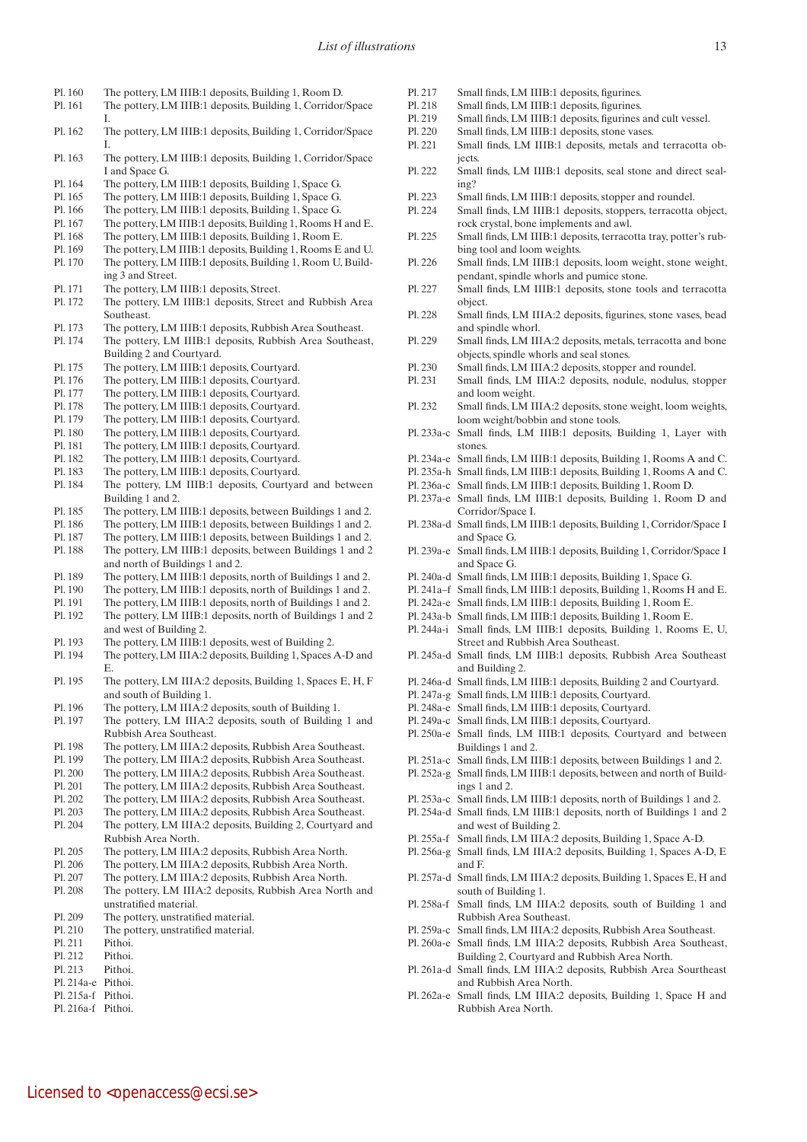- Pl. 160 The pottery, LM IIIB:1 deposits, Building 1, Room D.
- Pl. 161 The pottery, LM IIIB:1 deposits, Building 1, Corridor/Space
- I. Pl. 162 The pottery, LM IIIB:1 deposits, Building 1, Corridor/Space I.
- Pl. 163 The pottery, LM IIIB:1 deposits, Building 1, Corridor/Space I and Space G.
- Pl. 164 The pottery, LM IIIB:1 deposits, Building 1, Space G.
- Pl. 165 The pottery, LM IIIB:1 deposits, Building 1, Space G.
- Pl. 166 The pottery, LM IIIB:1 deposits, Building 1, Space G.
- Pl. 167 The pottery, LM IIIB:1 deposits, Building 1, Rooms H and E.
- Pl. 168 The pottery, LM IIIB:1 deposits, Building 1, Room E.
- Pl. 169 The pottery, LM IIIB:1 deposits, Building 1, Rooms E and U. Pl. 170 The pottery, LM IIIB:1 deposits, Building 1, Room U, Building 3 and Street.
- Pl. 171 The pottery, LM IIIB:1 deposits, Street.
- Pl. 172 The pottery, LM IIIB:1 deposits, Street and Rubbish Area Southeast.
- Pl. 173 The pottery, LM IIIB:1 deposits, Rubbish Area Southeast.
- Pl. 174 The pottery, LM IIIB:1 deposits, Rubbish Area Southeast, Building 2 and Courtyard.
- Pl. 175 The pottery, LM IIIB:1 deposits, Courtyard.
- Pl. 176 The pottery, LM IIIB:1 deposits, Courtyard.
- Pl. 177 The pottery, LM IIIB:1 deposits, Courtyard.
- Pl. 178 The pottery, LM IIIB:1 deposits, Courtyard.
- Pl. 179 The pottery, LM IIIB:1 deposits, Courtyard.
- Pl. 180 The pottery, LM IIIB:1 deposits, Courtyard.
- Pl. 181 The pottery, LM IIIB:1 deposits, Courtyard.
- Pl. 182 The pottery, LM IIIB:1 deposits, Courtyard.
- Pl. 183 The pottery, LM IIIB:1 deposits, Courtyard.
- Pl. 184 The pottery, LM IIIB:1 deposits, Courtyard and between Building 1 and 2.
- Pl. 185 The pottery, LM IIIB:1 deposits, between Buildings 1 and 2.
- Pl. 186 The pottery, LM IIIB:1 deposits, between Buildings 1 and 2.
- Pl. 187 The pottery, LM IIIB:1 deposits, between Buildings 1 and 2. Pl. 188 The pottery, LM IIIB:1 deposits, between Buildings 1 and 2
- and north of Buildings 1 and 2.
- Pl. 189 The pottery, LM IIIB:1 deposits, north of Buildings 1 and 2.
- Pl. 190 The pottery, LM IIIB:1 deposits, north of Buildings 1 and 2. Pl. 191 The pottery, LM IIIB:1 deposits, north of Buildings 1 and 2.
- Pl. 192 The pottery, LM IIIB:1 deposits, north of Buildings 1 and 2
- and west of Building 2.
- Pl. 193 The pottery, LM IIIB:1 deposits, west of Building 2.
- Pl. 194 The pottery, LM IIIA:2 deposits, Building 1, Spaces A-D and E.
- Pl. 195 The pottery, LM IIIA:2 deposits, Building 1, Spaces E, H, F and south of Building 1.
- Pl. 196 The pottery, LM IIIA:2 deposits, south of Building 1.
- Pl. 197 The pottery, LM IIIA:2 deposits, south of Building 1 and Rubbish Area Southeast.
- Pl. 198 The pottery, LM IIIA:2 deposits, Rubbish Area Southeast.
- Pl. 199 The pottery, LM IIIA:2 deposits, Rubbish Area Southeast.
- Pl. 200 The pottery, LM IIIA:2 deposits, Rubbish Area Southeast.
- Pl. 201 The pottery, LM IIIA:2 deposits, Rubbish Area Southeast.
- Pl. 202 The pottery, LM IIIA:2 deposits, Rubbish Area Southeast.
- Pl. 203 The pottery, LM IIIA:2 deposits, Rubbish Area Southeast.
- Pl. 204 The pottery, LM IIIA:2 deposits, Building 2, Courtyard and Rubbish Area North.
- Pl. 205 The pottery, LM IIIA:2 deposits, Rubbish Area North.
- Pl. 206 The pottery, LM IIIA:2 deposits, Rubbish Area North.
- Pl. 207 The pottery, LM IIIA:2 deposits, Rubbish Area North.
- Pl. 208 The pottery, LM IIIA:2 deposits, Rubbish Area North and unstratified material.
- Pl. 209 The pottery, unstratified material.

Licensed to <openaccess@ecsi.se>

- Pl. 210 The pottery, unstratified material.
- Pl. 211 Pithoi.
- Pl. 212 Pithoi.
- Pl. 213 Pithoi.
- Pl. 214a-e Pithoi.
- Pl. 215a-f Pithoi. Pl. 216a-f Pithoi.
- 
- Pl. 217 Small finds, LM IIIB:1 deposits, figurines.
- Pl. 218 Small finds, LM IIIB:1 deposits, figurines.
- Pl. 219 Small finds, LM IIIB:1 deposits, figurines and cult vessel.
- Pl. 220 Small finds, LM IIIB:1 deposits, stone vases.
- Pl. 221 Small finds, LM IIIB:1 deposits, metals and terracotta objects.
- Pl. 222 Small finds, LM IIIB:1 deposits, seal stone and direct sealing?
- Pl. 223 Small finds, LM IIIB:1 deposits, stopper and roundel.
- Pl. 224 Small finds, LM IIIB:1 deposits, stoppers, terracotta object, rock crystal, bone implements and awl.
- Pl. 225 Small finds, LM IIIB:1 deposits, terracotta tray, potter's rubbing tool and loom weights.
- Pl. 226 Small finds, LM IIIB:1 deposits, loom weight, stone weight, pendant, spindle whorls and pumice stone.
- Pl. 227 Small finds, LM IIIB:1 deposits, stone tools and terracotta object.
- Pl. 228 Small finds, LM IIIA:2 deposits, figurines, stone vases, bead and spindle whorl.
- Pl. 229 Small finds, LM IIIA:2 deposits, metals, terracotta and bone objects, spindle whorls and seal stones.
- Pl. 230 Small finds, LM IIIA:2 deposits, stopper and roundel.
- Pl. 231 Small finds, LM IIIA:2 deposits, nodule, nodulus, stopper and loom weight.
- Pl. 232 Small finds, LM IIIA:2 deposits, stone weight, loom weights, loom weight/bobbin and stone tools.
- Pl. 233a-c Small finds, LM IIIB:1 deposits, Building 1, Layer with stones.
- Pl. 234a-e Small finds, LM IIIB:1 deposits, Building 1, Rooms A and C.
- Pl. 235a-h Small finds, LM IIIB:1 deposits, Building 1, Rooms A and C.
- Pl. 236a-c Small finds, LM IIIB:1 deposits, Building 1, Room D.
- Pl. 237a-e Small finds, LM IIIB:1 deposits, Building 1, Room D and Corridor/Space I.
- Pl. 238a-d Small finds, LM IIIB:1 deposits, Building 1, Corridor/Space I and Space G.
- Pl. 239a-e Small finds, LM IIIB:1 deposits, Building 1, Corridor/Space I and Space G.
- Pl. 240a-d Small finds, LM IIIB:1 deposits, Building 1, Space G.
- Pl. 241a–f Small finds, LM IIIB:1 deposits, Building 1, Rooms H and E.
- Pl. 242a-e Small finds, LM IIIB:1 deposits, Building 1, Room E.
- Pl. 243a-b Small finds, LM IIIB:1 deposits, Building 1, Room E.
- Pl. 244a-i Small finds, LM IIIB:1 deposits, Building 1, Rooms E, U, Street and Rubbish Area Southeast.
- Pl. 245a-d Small finds, LM IIIB:1 deposits, Rubbish Area Southeast and Building 2.
- Pl. 246a-d Small finds, LM IIIB:1 deposits, Building 2 and Courtyard.
- Pl. 247a-g Small finds, LM IIIB:1 deposits, Courtyard.
- Pl. 248a-e Small finds, LM IIIB:1 deposits, Courtyard.
- Pl. 249a-c Small finds, LM IIIB:1 deposits, Courtyard.
- Pl. 250a-e Small finds, LM IIIB:1 deposits, Courtyard and between Buildings 1 and 2.
- Pl. 251a-c Small finds, LM IIIB:1 deposits, between Buildings 1 and 2.
- Pl. 252a-g Small finds, LM IIIB:1 deposits, between and north of Buildings 1 and 2.
- Pl. 253a-c Small finds, LM IIIB:1 deposits, north of Buildings 1 and 2.
- Pl. 254a-d Small finds, LM IIIB:1 deposits, north of Buildings 1 and 2 and west of Building 2.
- Pl. 255a-f Small finds, LM IIIA:2 deposits, Building 1, Space A-D.
- Pl. 256a-g Small finds, LM IIIA:2 deposits, Building 1, Spaces A-D, E and F.
- Pl. 257a-d Small finds, LM IIIA:2 deposits, Building 1, Spaces E, H and south of Building 1.
- Pl. 258a-f Small finds, LM IIIA:2 deposits, south of Building 1 and Rubbish Area Southeast.
- Pl. 259a-c Small finds, LM IIIA:2 deposits, Rubbish Area Southeast. Pl. 260a-e Small finds, LM IIIA:2 deposits, Rubbish Area Southeast,

Building 2, Courtyard and Rubbish Area North. Pl. 261a-d Small finds, LM IIIA:2 deposits, Rubbish Area Sourtheast

Pl. 262a-e Small finds, LM IIIA:2 deposits, Building 1, Space H and

and Rubbish Area North.

Rubbish Area North.